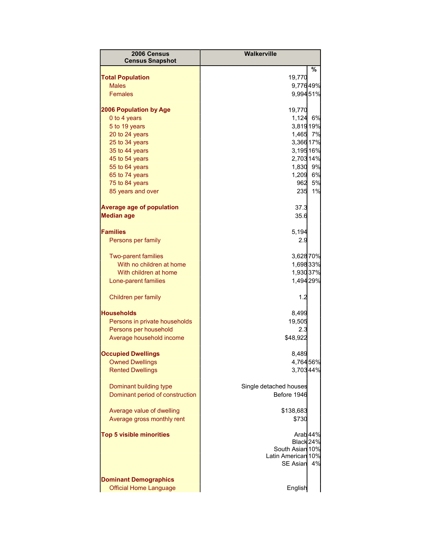| 2006 Census                      | Walkerville            |        |
|----------------------------------|------------------------|--------|
| <b>Census Snapshot</b>           |                        |        |
|                                  |                        | %      |
| <b>Total Population</b>          | 19,770                 |        |
| <b>Males</b><br><b>Females</b>   | 9,77649%               |        |
|                                  | 9,99451%               |        |
| 2006 Population by Age           | 19,770                 |        |
| 0 to 4 years                     | 1,124 6%               |        |
| 5 to 19 years                    | 3,81919%               |        |
| 20 to 24 years                   | 1,465 7%               |        |
| 25 to 34 years                   | 3,366 17%              |        |
| 35 to 44 years                   | 3,19516%               |        |
| 45 to 54 years                   | 2,703 14%              |        |
| 55 to 64 years                   | 1,830 9%               |        |
| 65 to 74 years                   | 1,209 6%               | 962 5% |
| 75 to 84 years                   | 235                    | 1%     |
| 85 years and over                |                        |        |
| <b>Average age of population</b> | 37.3                   |        |
| <b>Median age</b>                | 35.6                   |        |
| <b>Families</b>                  | 5,194                  |        |
| Persons per family               | 2.9                    |        |
|                                  |                        |        |
| <b>Two-parent families</b>       | 3,62870%               |        |
| With no children at home         | 1,69833%               |        |
| With children at home            | 1,93037%               |        |
| Lone-parent families             | 1,494 29%              |        |
| Children per family              | 1.2                    |        |
| <b>Households</b>                | 8,499                  |        |
| Persons in private households    | 19,505                 |        |
| Persons per household            | 2.3                    |        |
| Average household income         | \$48,922               |        |
| <b>Occupied Dwellings</b>        | 8,489                  |        |
| <b>Owned Dwellings</b>           | 4,764 56%              |        |
| <b>Rented Dwellings</b>          | 3,70344%               |        |
|                                  |                        |        |
| Dominant building type           | Single detached houses |        |
| Dominant period of construction  | Before 1946            |        |
| Average value of dwelling        | \$138,683              |        |
| Average gross monthly rent       | \$730                  |        |
|                                  |                        |        |
| <b>Top 5 visible minorities</b>  | Arab <sub>44%</sub>    |        |
|                                  | Black 24%              |        |
|                                  | South Asian 10%        |        |
|                                  | Latin American 10%     | 4%     |
|                                  | <b>SE Asian</b>        |        |
| <b>Dominant Demographics</b>     |                        |        |
| <b>Official Home Language</b>    | English                |        |